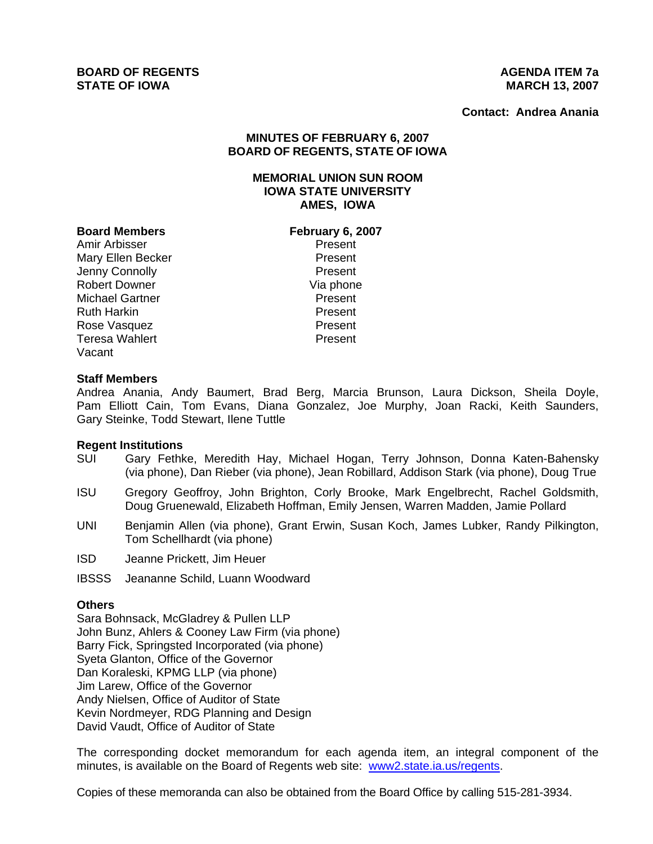**BOARD OF REGENTS AGENUS AGENDA ITEM 7a STATE OF IOWA MARCH 13, 2007** 

**Contact: Andrea Anania**

# **MINUTES OF FEBRUARY 6, 2007 BOARD OF REGENTS, STATE OF IOWA**

#### **MEMORIAL UNION SUN ROOM IOWA STATE UNIVERSITY AMES, IOWA**

#### **Board Members February 6, 2007**

Amir Arbisser **Present** Mary Ellen Becker **Present** Jenny Connolly **Accord Present** Robert Downer Via phone Michael Gartner **Present**<br>
Ruth Harkin **Present**<br>
Present **Ruth Harkin** Rose Vasquez **Present** Teresa Wahlert **Present** Vacant

#### **Staff Members**

Andrea Anania, Andy Baumert, Brad Berg, Marcia Brunson, Laura Dickson, Sheila Doyle, Pam Elliott Cain, Tom Evans, Diana Gonzalez, Joe Murphy, Joan Racki, Keith Saunders, Gary Steinke, Todd Stewart, Ilene Tuttle

#### **Regent Institutions**

- SUI Gary Fethke, Meredith Hay, Michael Hogan, Terry Johnson, Donna Katen-Bahensky (via phone), Dan Rieber (via phone), Jean Robillard, Addison Stark (via phone), Doug True
- ISU Gregory Geoffroy, John Brighton, Corly Brooke, Mark Engelbrecht, Rachel Goldsmith, Doug Gruenewald, Elizabeth Hoffman, Emily Jensen, Warren Madden, Jamie Pollard
- UNI Benjamin Allen (via phone), Grant Erwin, Susan Koch, James Lubker, Randy Pilkington, Tom Schellhardt (via phone)
- ISD Jeanne Prickett, Jim Heuer
- IBSSS Jeananne Schild, Luann Woodward

#### **Others**

Sara Bohnsack, McGladrey & Pullen LLP John Bunz, Ahlers & Cooney Law Firm (via phone) Barry Fick, Springsted Incorporated (via phone) Syeta Glanton, Office of the Governor Dan Koraleski, KPMG LLP (via phone) Jim Larew, Office of the Governor Andy Nielsen, Office of Auditor of State Kevin Nordmeyer, RDG Planning and Design David Vaudt, Office of Auditor of State

The corresponding docket memorandum for each agenda item, an integral component of the minutes, is available on the Board of Regents web site: www2.state.ia.us/regents.

Copies of these memoranda can also be obtained from the Board Office by calling 515-281-3934.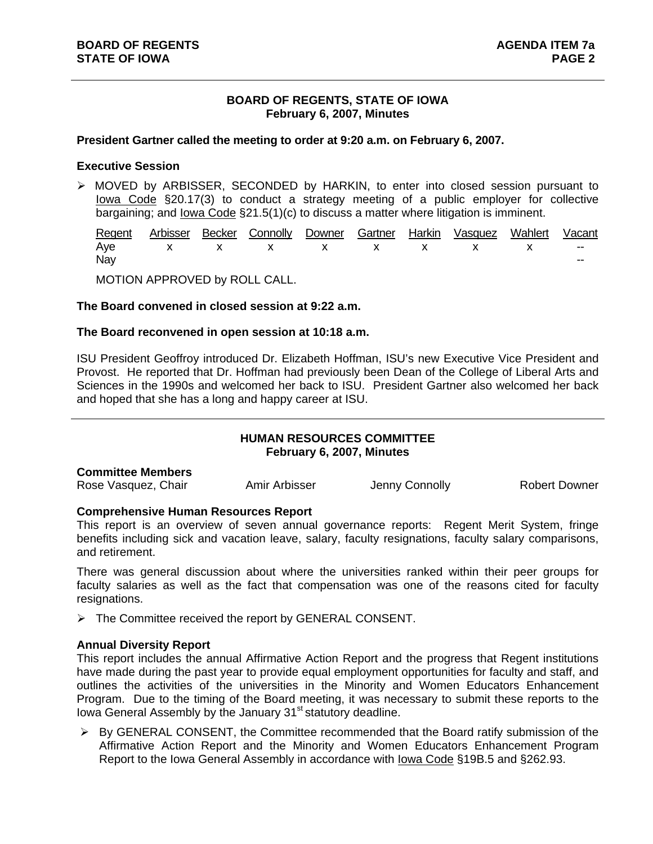# **BOARD OF REGENTS, STATE OF IOWA February 6, 2007, Minutes**

#### **President Gartner called the meeting to order at 9:20 a.m. on February 6, 2007.**

#### **Executive Session**

 MOVED by ARBISSER, SECONDED by HARKIN, to enter into closed session pursuant to Iowa Code §20.17(3) to conduct a strategy meeting of a public employer for collective bargaining; and Iowa Code §21.5(1)(c) to discuss a matter where litigation is imminent.

|     |  |  |  | Regent Arbisser Becker Connolly Downer Gartner Harkin Vasquez Wahlert Vacant |       |
|-----|--|--|--|------------------------------------------------------------------------------|-------|
|     |  |  |  | Aye x x x x x x x x --                                                       |       |
| Nay |  |  |  |                                                                              | $- -$ |
|     |  |  |  |                                                                              |       |

MOTION APPROVED by ROLL CALL.

## **The Board convened in closed session at 9:22 a.m.**

#### **The Board reconvened in open session at 10:18 a.m.**

ISU President Geoffroy introduced Dr. Elizabeth Hoffman, ISU's new Executive Vice President and Provost. He reported that Dr. Hoffman had previously been Dean of the College of Liberal Arts and Sciences in the 1990s and welcomed her back to ISU. President Gartner also welcomed her back and hoped that she has a long and happy career at ISU.

# **HUMAN RESOURCES COMMITTEE February 6, 2007, Minutes**

| <b>Committee Members</b> |               |                |                      |
|--------------------------|---------------|----------------|----------------------|
| Rose Vasquez, Chair      | Amir Arbisser | Jenny Connolly | <b>Robert Downer</b> |

#### **Comprehensive Human Resources Report**

This report is an overview of seven annual governance reports: Regent Merit System, fringe benefits including sick and vacation leave, salary, faculty resignations, faculty salary comparisons, and retirement.

There was general discussion about where the universities ranked within their peer groups for faculty salaries as well as the fact that compensation was one of the reasons cited for faculty resignations.

> The Committee received the report by GENERAL CONSENT.

#### **Annual Diversity Report**

This report includes the annual Affirmative Action Report and the progress that Regent institutions have made during the past year to provide equal employment opportunities for faculty and staff, and outlines the activities of the universities in the Minority and Women Educators Enhancement Program. Due to the timing of the Board meeting, it was necessary to submit these reports to the lowa General Assembly by the January 31<sup>st</sup> statutory deadline.

 $\triangleright$  By GENERAL CONSENT, the Committee recommended that the Board ratify submission of the Affirmative Action Report and the Minority and Women Educators Enhancement Program Report to the Iowa General Assembly in accordance with lowa Code §19B.5 and §262.93.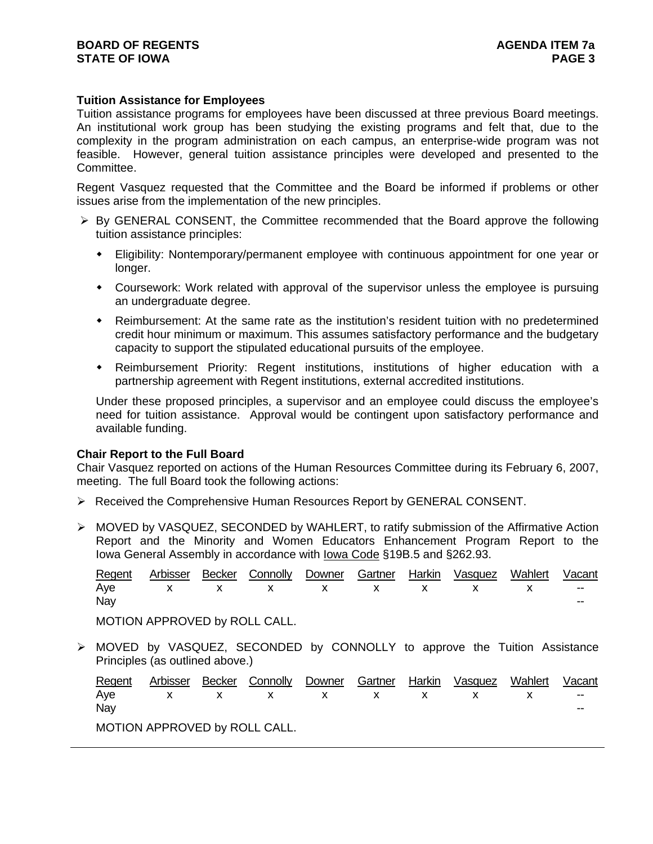# **Tuition Assistance for Employees**

Tuition assistance programs for employees have been discussed at three previous Board meetings. An institutional work group has been studying the existing programs and felt that, due to the complexity in the program administration on each campus, an enterprise-wide program was not feasible. However, general tuition assistance principles were developed and presented to the Committee.

Regent Vasquez requested that the Committee and the Board be informed if problems or other issues arise from the implementation of the new principles.

- $\triangleright$  By GENERAL CONSENT, the Committee recommended that the Board approve the following tuition assistance principles:
	- Eligibility: Nontemporary/permanent employee with continuous appointment for one year or longer.
	- Coursework: Work related with approval of the supervisor unless the employee is pursuing an undergraduate degree.
	- Reimbursement: At the same rate as the institution's resident tuition with no predetermined credit hour minimum or maximum. This assumes satisfactory performance and the budgetary capacity to support the stipulated educational pursuits of the employee.
	- Reimbursement Priority: Regent institutions, institutions of higher education with a partnership agreement with Regent institutions, external accredited institutions.

Under these proposed principles, a supervisor and an employee could discuss the employee's need for tuition assistance. Approval would be contingent upon satisfactory performance and available funding.

## **Chair Report to the Full Board**

Chair Vasquez reported on actions of the Human Resources Committee during its February 6, 2007, meeting. The full Board took the following actions:

- $\triangleright$  Received the Comprehensive Human Resources Report by GENERAL CONSENT.
- MOVED by VASQUEZ, SECONDED by WAHLERT, to ratify submission of the Affirmative Action Report and the Minority and Women Educators Enhancement Program Report to the Iowa General Assembly in accordance with Iowa Code §19B.5 and §262.93.

|     |  |  |  | Regent Arbisser Becker Connolly Downer Gartner Harkin Vasquez Wahlert Vacant |       |
|-----|--|--|--|------------------------------------------------------------------------------|-------|
|     |  |  |  | Aye $x \times x \times x \times x \times x \times x$                         |       |
| Nay |  |  |  |                                                                              | $- -$ |
|     |  |  |  |                                                                              |       |

MOTION APPROVED by ROLL CALL.

 $\triangleright$  MOVED by VASQUEZ, SECONDED by CONNOLLY to approve the Tuition Assistance Principles (as outlined above.)

|     |  |  |  | Regent Arbisser Becker Connolly Downer Gartner Harkin Vasquez Wahlert Vacant |       |
|-----|--|--|--|------------------------------------------------------------------------------|-------|
|     |  |  |  | Aye x x x x x x x x x -                                                      |       |
| Nay |  |  |  |                                                                              | $- -$ |
|     |  |  |  |                                                                              |       |

MOTION APPROVED by ROLL CALL.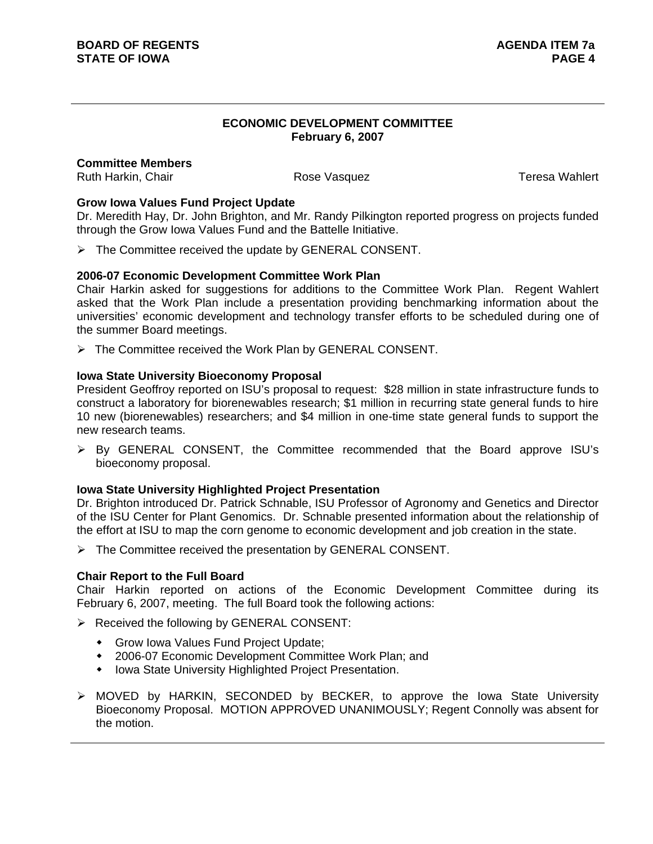# **ECONOMIC DEVELOPMENT COMMITTEE February 6, 2007**

# **Committee Members**

Ruth Harkin, Chair **Rose Vasquez** Rose Vasquez **Rose Vances** Teresa Wahlert

# **Grow Iowa Values Fund Project Update**

Dr. Meredith Hay, Dr. John Brighton, and Mr. Randy Pilkington reported progress on projects funded through the Grow Iowa Values Fund and the Battelle Initiative.

 $\triangleright$  The Committee received the update by GENERAL CONSENT.

# **2006-07 Economic Development Committee Work Plan**

Chair Harkin asked for suggestions for additions to the Committee Work Plan. Regent Wahlert asked that the Work Plan include a presentation providing benchmarking information about the universities' economic development and technology transfer efforts to be scheduled during one of the summer Board meetings.

> The Committee received the Work Plan by GENERAL CONSENT.

## **Iowa State University Bioeconomy Proposal**

President Geoffroy reported on ISU's proposal to request: \$28 million in state infrastructure funds to construct a laboratory for biorenewables research; \$1 million in recurring state general funds to hire 10 new (biorenewables) researchers; and \$4 million in one-time state general funds to support the new research teams.

 $\triangleright$  By GENERAL CONSENT, the Committee recommended that the Board approve ISU's bioeconomy proposal.

## **Iowa State University Highlighted Project Presentation**

Dr. Brighton introduced Dr. Patrick Schnable, ISU Professor of Agronomy and Genetics and Director of the ISU Center for Plant Genomics. Dr. Schnable presented information about the relationship of the effort at ISU to map the corn genome to economic development and job creation in the state.

 $\triangleright$  The Committee received the presentation by GENERAL CONSENT.

## **Chair Report to the Full Board**

Chair Harkin reported on actions of the Economic Development Committee during its February 6, 2007, meeting. The full Board took the following actions:

- $\triangleright$  Received the following by GENERAL CONSENT:
	- Grow Iowa Values Fund Project Update;
	- 2006-07 Economic Development Committee Work Plan; and
	- Iowa State University Highlighted Project Presentation.
- $\triangleright$  MOVED by HARKIN, SECONDED by BECKER, to approve the lowa State University Bioeconomy Proposal. MOTION APPROVED UNANIMOUSLY; Regent Connolly was absent for the motion.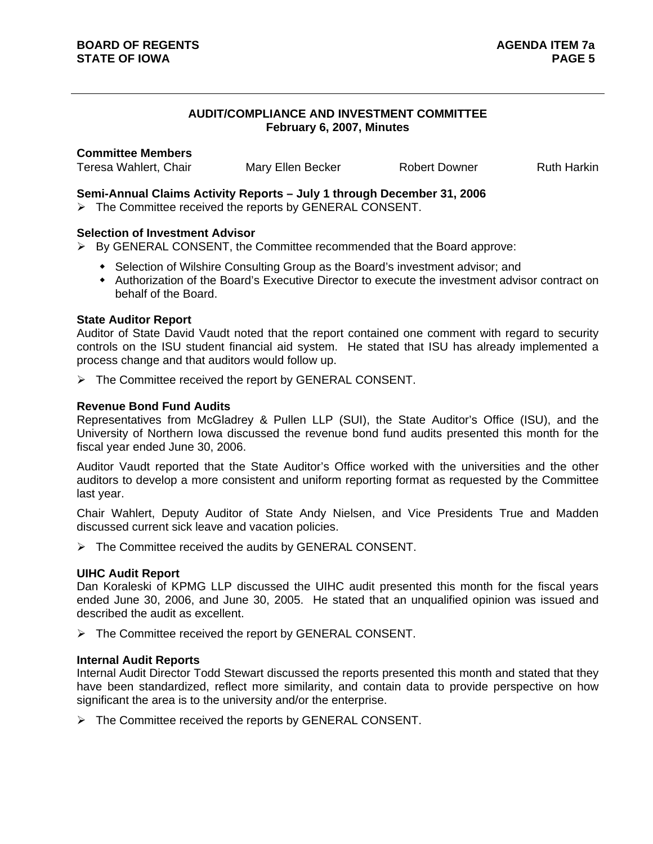# **AUDIT/COMPLIANCE AND INVESTMENT COMMITTEE February 6, 2007, Minutes**

**Committee Members**

Teresa Wahlert, Chair **Mary Ellen Becker** Robert Downer Ruth Harkin

**Semi-Annual Claims Activity Reports – July 1 through December 31, 2006**

 $\triangleright$  The Committee received the reports by GENERAL CONSENT.

## **Selection of Investment Advisor**

 $\triangleright$  By GENERAL CONSENT, the Committee recommended that the Board approve:

- Selection of Wilshire Consulting Group as the Board's investment advisor; and
- Authorization of the Board's Executive Director to execute the investment advisor contract on behalf of the Board.

## **State Auditor Report**

Auditor of State David Vaudt noted that the report contained one comment with regard to security controls on the ISU student financial aid system. He stated that ISU has already implemented a process change and that auditors would follow up.

 $\triangleright$  The Committee received the report by GENERAL CONSENT.

# **Revenue Bond Fund Audits**

Representatives from McGladrey & Pullen LLP (SUI), the State Auditor's Office (ISU), and the University of Northern Iowa discussed the revenue bond fund audits presented this month for the fiscal year ended June 30, 2006.

Auditor Vaudt reported that the State Auditor's Office worked with the universities and the other auditors to develop a more consistent and uniform reporting format as requested by the Committee last year.

Chair Wahlert, Deputy Auditor of State Andy Nielsen, and Vice Presidents True and Madden discussed current sick leave and vacation policies.

 $\triangleright$  The Committee received the audits by GENERAL CONSENT.

## **UIHC Audit Report**

Dan Koraleski of KPMG LLP discussed the UIHC audit presented this month for the fiscal years ended June 30, 2006, and June 30, 2005. He stated that an unqualified opinion was issued and described the audit as excellent.

 $\triangleright$  The Committee received the report by GENERAL CONSENT.

## **Internal Audit Reports**

Internal Audit Director Todd Stewart discussed the reports presented this month and stated that they have been standardized, reflect more similarity, and contain data to provide perspective on how significant the area is to the university and/or the enterprise.

 $\triangleright$  The Committee received the reports by GENERAL CONSENT.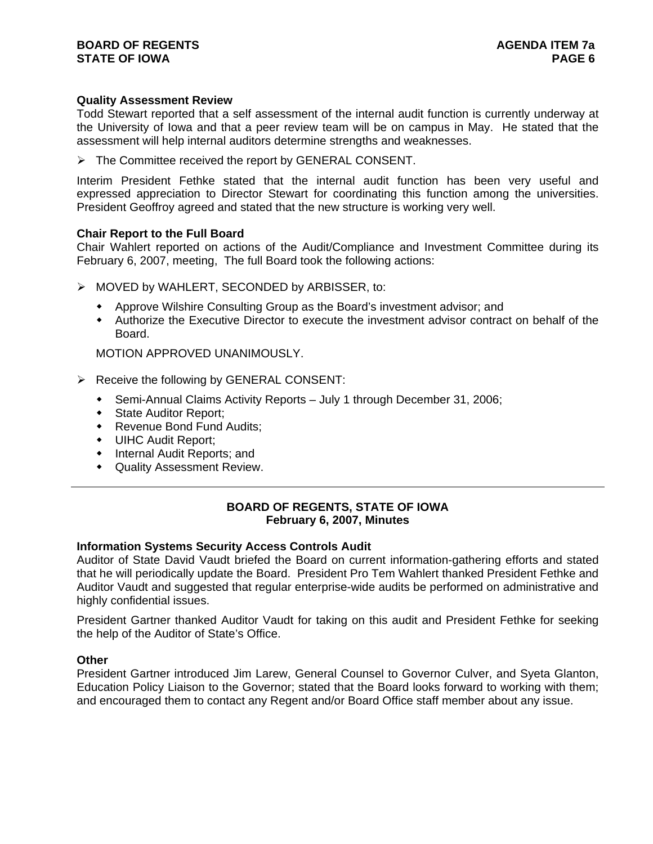# **BOARD OF REGENTS AGENUS AGENDA ITEM 7a STATE OF IOWA** PAGE 6 **PAGE 6**

# **Quality Assessment Review**

Todd Stewart reported that a self assessment of the internal audit function is currently underway at the University of Iowa and that a peer review team will be on campus in May. He stated that the assessment will help internal auditors determine strengths and weaknesses.

 $\triangleright$  The Committee received the report by GENERAL CONSENT.

Interim President Fethke stated that the internal audit function has been very useful and expressed appreciation to Director Stewart for coordinating this function among the universities. President Geoffroy agreed and stated that the new structure is working very well.

## **Chair Report to the Full Board**

Chair Wahlert reported on actions of the Audit/Compliance and Investment Committee during its February 6, 2007, meeting, The full Board took the following actions:

- $\triangleright$  MOVED by WAHLERT, SECONDED by ARBISSER, to:
	- Approve Wilshire Consulting Group as the Board's investment advisor; and
	- Authorize the Executive Director to execute the investment advisor contract on behalf of the Board.

MOTION APPROVED UNANIMOUSLY.

- $\triangleright$  Receive the following by GENERAL CONSENT:
	- Semi-Annual Claims Activity Reports July 1 through December 31, 2006;
	- State Auditor Report;
	- Revenue Bond Fund Audits;
	- UIHC Audit Report;
	- Internal Audit Reports; and
	- Quality Assessment Review.

# **BOARD OF REGENTS, STATE OF IOWA February 6, 2007, Minutes**

## **Information Systems Security Access Controls Audit**

Auditor of State David Vaudt briefed the Board on current information-gathering efforts and stated that he will periodically update the Board. President Pro Tem Wahlert thanked President Fethke and Auditor Vaudt and suggested that regular enterprise-wide audits be performed on administrative and highly confidential issues.

President Gartner thanked Auditor Vaudt for taking on this audit and President Fethke for seeking the help of the Auditor of State's Office.

## **Other**

President Gartner introduced Jim Larew, General Counsel to Governor Culver, and Syeta Glanton, Education Policy Liaison to the Governor; stated that the Board looks forward to working with them; and encouraged them to contact any Regent and/or Board Office staff member about any issue.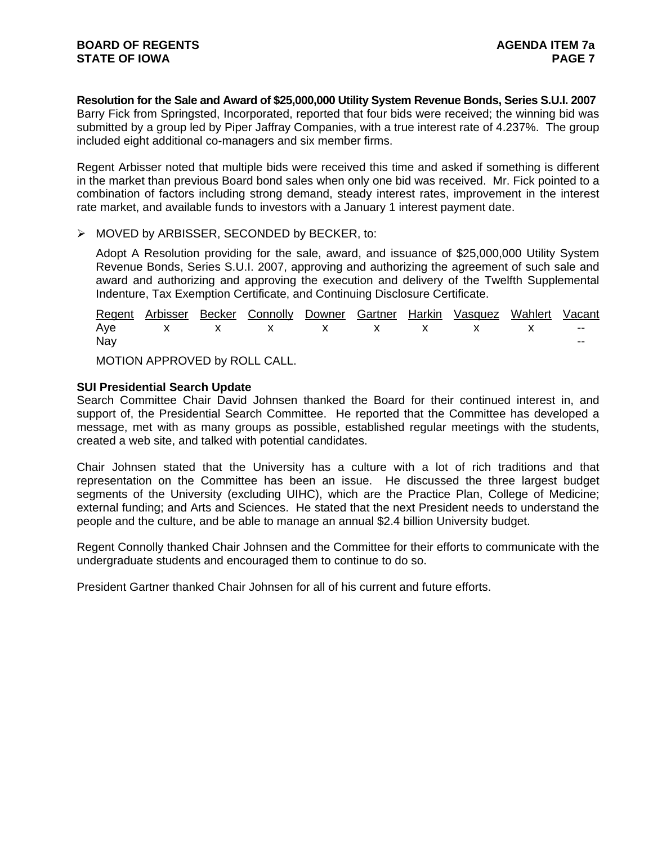**Resolution for the Sale and Award of \$25,000,000 Utility System Revenue Bonds, Series S.U.I. 2007** Barry Fick from Springsted, Incorporated, reported that four bids were received; the winning bid was submitted by a group led by Piper Jaffray Companies, with a true interest rate of 4.237%. The group included eight additional co-managers and six member firms.

Regent Arbisser noted that multiple bids were received this time and asked if something is different in the market than previous Board bond sales when only one bid was received. Mr. Fick pointed to a combination of factors including strong demand, steady interest rates, improvement in the interest rate market, and available funds to investors with a January 1 interest payment date.

 $\triangleright$  MOVED by ARBISSER, SECONDED by BECKER, to:

Adopt A Resolution providing for the sale, award, and issuance of \$25,000,000 Utility System Revenue Bonds, Series S.U.I. 2007, approving and authorizing the agreement of such sale and award and authorizing and approving the execution and delivery of the Twelfth Supplemental Indenture, Tax Exemption Certificate, and Continuing Disclosure Certificate.

|     |  |  |  | Regent Arbisser Becker Connolly Downer Gartner Harkin Vasquez Wahlert Vacant |       |
|-----|--|--|--|------------------------------------------------------------------------------|-------|
|     |  |  |  | Aye x x x x x x x x x -                                                      |       |
| Nay |  |  |  |                                                                              | $- -$ |
|     |  |  |  |                                                                              |       |

MOTION APPROVED by ROLL CALL.

## **SUI Presidential Search Update**

Search Committee Chair David Johnsen thanked the Board for their continued interest in, and support of, the Presidential Search Committee. He reported that the Committee has developed a message, met with as many groups as possible, established regular meetings with the students, created a web site, and talked with potential candidates.

Chair Johnsen stated that the University has a culture with a lot of rich traditions and that representation on the Committee has been an issue. He discussed the three largest budget segments of the University (excluding UIHC), which are the Practice Plan, College of Medicine; external funding; and Arts and Sciences. He stated that the next President needs to understand the people and the culture, and be able to manage an annual \$2.4 billion University budget.

Regent Connolly thanked Chair Johnsen and the Committee for their efforts to communicate with the undergraduate students and encouraged them to continue to do so.

President Gartner thanked Chair Johnsen for all of his current and future efforts.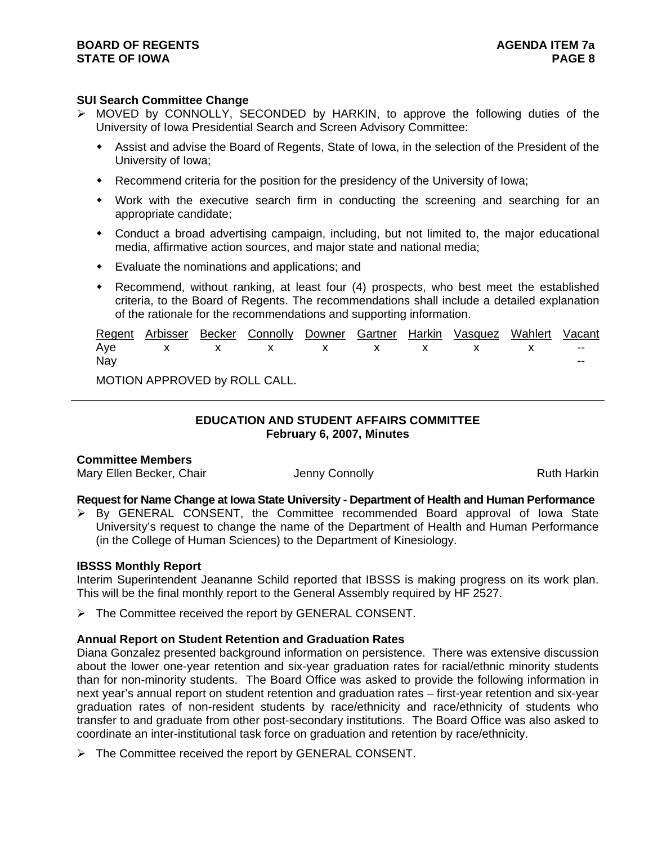# **SUI Search Committee Change**

- MOVED by CONNOLLY, SECONDED by HARKIN, to approve the following duties of the University of Iowa Presidential Search and Screen Advisory Committee:
	- Assist and advise the Board of Regents, State of Iowa, in the selection of the President of the University of Iowa;
	- Recommend criteria for the position for the presidency of the University of Iowa;
	- Work with the executive search firm in conducting the screening and searching for an appropriate candidate;
	- Conduct a broad advertising campaign, including, but not limited to, the major educational media, affirmative action sources, and major state and national media;
	- Evaluate the nominations and applications; and
	- Recommend, without ranking, at least four (4) prospects, who best meet the established criteria, to the Board of Regents. The recommendations shall include a detailed explanation of the rationale for the recommendations and supporting information.

Regent Arbisser Becker Connolly Downer Gartner Harkin Vasquez Wahlert Vacant Aye x x x x x x x x --Nay --

MOTION APPROVED by ROLL CALL.

# **EDUCATION AND STUDENT AFFAIRS COMMITTEE February 6, 2007, Minutes**

## **Committee Members**

Mary Ellen Becker, Chair **Mary Harkin** Jenny Connolly **Ruth Harkin** Ruth Harkin

# **Request for Name Change at Iowa State University - Department of Health and Human Performance**

 $\triangleright$  By GENERAL CONSENT, the Committee recommended Board approval of Iowa State University's request to change the name of the Department of Health and Human Performance (in the College of Human Sciences) to the Department of Kinesiology.

# **IBSSS Monthly Report**

Interim Superintendent Jeananne Schild reported that IBSSS is making progress on its work plan. This will be the final monthly report to the General Assembly required by HF 2527.

> The Committee received the report by GENERAL CONSENT.

# **Annual Report on Student Retention and Graduation Rates**

Diana Gonzalez presented background information on persistence. There was extensive discussion about the lower one-year retention and six-year graduation rates for racial/ethnic minority students than for non-minority students. The Board Office was asked to provide the following information in next year's annual report on student retention and graduation rates – first-year retention and six-year graduation rates of non-resident students by race/ethnicity and race/ethnicity of students who transfer to and graduate from other post-secondary institutions. The Board Office was also asked to coordinate an inter-institutional task force on graduation and retention by race/ethnicity.

 $\triangleright$  The Committee received the report by GENERAL CONSENT.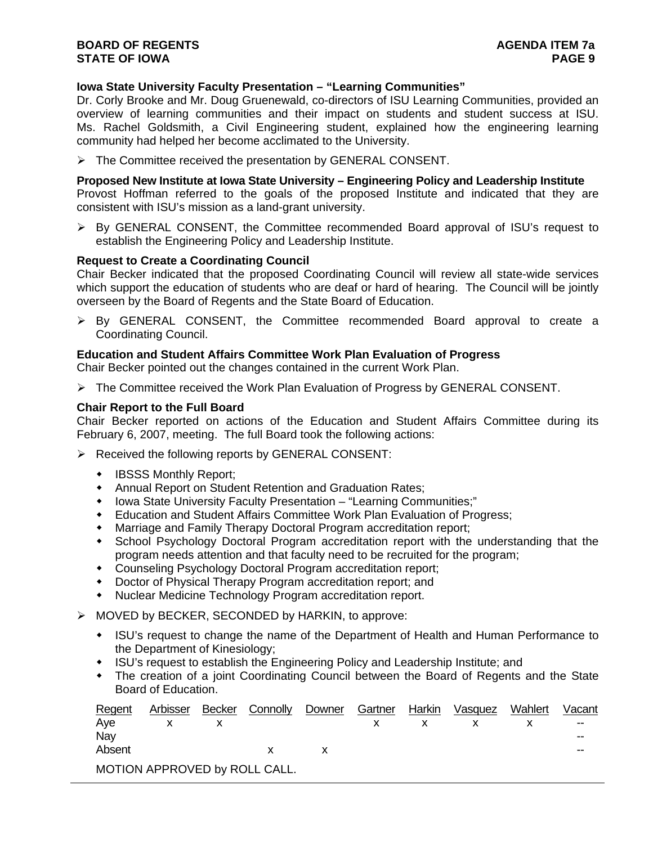# **Iowa State University Faculty Presentation – "Learning Communities"**

Dr. Corly Brooke and Mr. Doug Gruenewald, co-directors of ISU Learning Communities, provided an overview of learning communities and their impact on students and student success at ISU. Ms. Rachel Goldsmith, a Civil Engineering student, explained how the engineering learning community had helped her become acclimated to the University.

 $\triangleright$  The Committee received the presentation by GENERAL CONSENT.

# **Proposed New Institute at Iowa State University – Engineering Policy and Leadership Institute**

Provost Hoffman referred to the goals of the proposed Institute and indicated that they are consistent with ISU's mission as a land-grant university.

 $\triangleright$  By GENERAL CONSENT, the Committee recommended Board approval of ISU's request to establish the Engineering Policy and Leadership Institute.

#### **Request to Create a Coordinating Council**

Chair Becker indicated that the proposed Coordinating Council will review all state-wide services which support the education of students who are deaf or hard of hearing. The Council will be jointly overseen by the Board of Regents and the State Board of Education.

 $\triangleright$  By GENERAL CONSENT, the Committee recommended Board approval to create a Coordinating Council.

#### **Education and Student Affairs Committee Work Plan Evaluation of Progress**

Chair Becker pointed out the changes contained in the current Work Plan.

The Committee received the Work Plan Evaluation of Progress by GENERAL CONSENT.

#### **Chair Report to the Full Board**

Chair Becker reported on actions of the Education and Student Affairs Committee during its February 6, 2007, meeting. The full Board took the following actions:

- $\triangleright$  Received the following reports by GENERAL CONSENT:
	- IBSSS Monthly Report;
	- Annual Report on Student Retention and Graduation Rates;
	- Iowa State University Faculty Presentation "Learning Communities;"
	- Education and Student Affairs Committee Work Plan Evaluation of Progress;
	- Marriage and Family Therapy Doctoral Program accreditation report;
	- School Psychology Doctoral Program accreditation report with the understanding that the program needs attention and that faculty need to be recruited for the program;
	- Counseling Psychology Doctoral Program accreditation report;
	- Doctor of Physical Therapy Program accreditation report; and
	- Nuclear Medicine Technology Program accreditation report.
- $\triangleright$  MOVED by BECKER, SECONDED by HARKIN, to approve:
	- ISU's request to change the name of the Department of Health and Human Performance to the Department of Kinesiology;
	- ISU's request to establish the Engineering Policy and Leadership Institute; and
	- The creation of a joint Coordinating Council between the Board of Regents and the State Board of Education.

| Regent | Arbisser | Becker | Connolly                      |  | Downer Gartner Harkin Vasquez | Wahlert | Vacant                   |
|--------|----------|--------|-------------------------------|--|-------------------------------|---------|--------------------------|
| Ave    |          |        |                               |  |                               |         | $\overline{\phantom{m}}$ |
| Nav    |          |        |                               |  |                               |         | $- -$                    |
| Absent |          |        |                               |  |                               |         | $- -$                    |
|        |          |        | MOTION APPROVED by ROLL CALL. |  |                               |         |                          |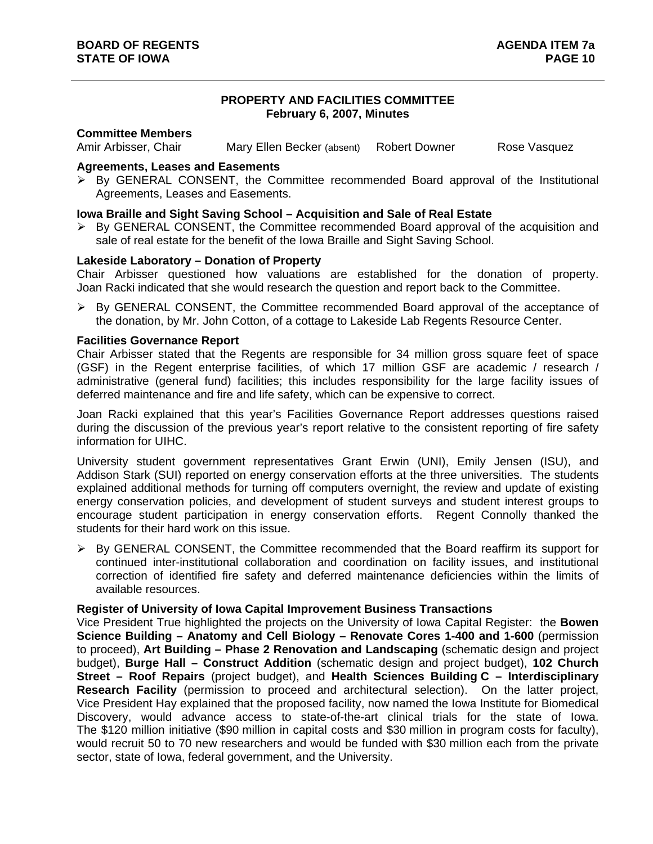# **PROPERTY AND FACILITIES COMMITTEE February 6, 2007, Minutes**

#### **Committee Members**

Amir Arbisser, Chair Mary Ellen Becker (absent) Robert Downer Rose Vasquez

## **Agreements, Leases and Easements**

 $\triangleright$  By GENERAL CONSENT, the Committee recommended Board approval of the Institutional Agreements, Leases and Easements.

## **Iowa Braille and Sight Saving School – Acquisition and Sale of Real Estate**

 $\triangleright$  By GENERAL CONSENT, the Committee recommended Board approval of the acquisition and sale of real estate for the benefit of the Iowa Braille and Sight Saving School.

#### **Lakeside Laboratory – Donation of Property**

Chair Arbisser questioned how valuations are established for the donation of property. Joan Racki indicated that she would research the question and report back to the Committee.

 $\triangleright$  By GENERAL CONSENT, the Committee recommended Board approval of the acceptance of the donation, by Mr. John Cotton, of a cottage to Lakeside Lab Regents Resource Center.

#### **Facilities Governance Report**

Chair Arbisser stated that the Regents are responsible for 34 million gross square feet of space (GSF) in the Regent enterprise facilities, of which 17 million GSF are academic / research / administrative (general fund) facilities; this includes responsibility for the large facility issues of deferred maintenance and fire and life safety, which can be expensive to correct.

Joan Racki explained that this year's Facilities Governance Report addresses questions raised during the discussion of the previous year's report relative to the consistent reporting of fire safety information for UIHC.

University student government representatives Grant Erwin (UNI), Emily Jensen (ISU), and Addison Stark (SUI) reported on energy conservation efforts at the three universities. The students explained additional methods for turning off computers overnight, the review and update of existing energy conservation policies, and development of student surveys and student interest groups to encourage student participation in energy conservation efforts. Regent Connolly thanked the students for their hard work on this issue.

 $\triangleright$  By GENERAL CONSENT, the Committee recommended that the Board reaffirm its support for continued inter-institutional collaboration and coordination on facility issues, and institutional correction of identified fire safety and deferred maintenance deficiencies within the limits of available resources.

#### **Register of University of Iowa Capital Improvement Business Transactions**

Vice President True highlighted the projects on the University of Iowa Capital Register: the **Bowen Science Building – Anatomy and Cell Biology – Renovate Cores 1-400 and 1-600** (permission to proceed), **Art Building – Phase 2 Renovation and Landscaping** (schematic design and project budget), **Burge Hall – Construct Addition** (schematic design and project budget), **102 Church Street – Roof Repairs** (project budget), and **Health Sciences Building C – Interdisciplinary Research Facility** (permission to proceed and architectural selection). On the latter project, Vice President Hay explained that the proposed facility, now named the Iowa Institute for Biomedical Discovery, would advance access to state-of-the-art clinical trials for the state of Iowa. The \$120 million initiative (\$90 million in capital costs and \$30 million in program costs for faculty), would recruit 50 to 70 new researchers and would be funded with \$30 million each from the private sector, state of Iowa, federal government, and the University.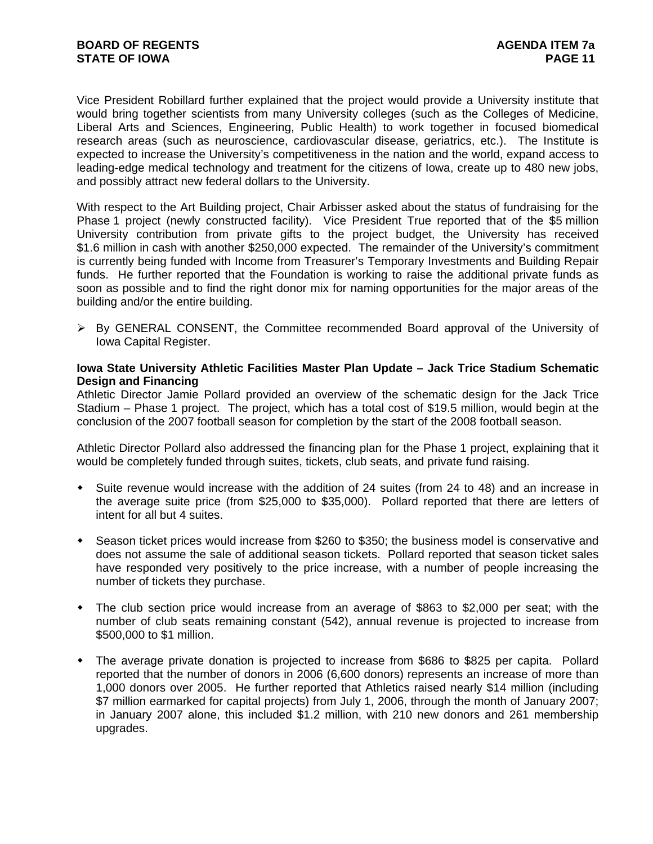Vice President Robillard further explained that the project would provide a University institute that would bring together scientists from many University colleges (such as the Colleges of Medicine, Liberal Arts and Sciences, Engineering, Public Health) to work together in focused biomedical research areas (such as neuroscience, cardiovascular disease, geriatrics, etc.). The Institute is expected to increase the University's competitiveness in the nation and the world, expand access to leading-edge medical technology and treatment for the citizens of Iowa, create up to 480 new jobs, and possibly attract new federal dollars to the University.

With respect to the Art Building project, Chair Arbisser asked about the status of fundraising for the Phase 1 project (newly constructed facility). Vice President True reported that of the \$5 million University contribution from private gifts to the project budget, the University has received \$1.6 million in cash with another \$250,000 expected. The remainder of the University's commitment is currently being funded with Income from Treasurer's Temporary Investments and Building Repair funds. He further reported that the Foundation is working to raise the additional private funds as soon as possible and to find the right donor mix for naming opportunities for the major areas of the building and/or the entire building.

 $\triangleright$  By GENERAL CONSENT, the Committee recommended Board approval of the University of Iowa Capital Register.

#### **Iowa State University Athletic Facilities Master Plan Update – Jack Trice Stadium Schematic Design and Financing**

Athletic Director Jamie Pollard provided an overview of the schematic design for the Jack Trice Stadium – Phase 1 project. The project, which has a total cost of \$19.5 million, would begin at the conclusion of the 2007 football season for completion by the start of the 2008 football season.

Athletic Director Pollard also addressed the financing plan for the Phase 1 project, explaining that it would be completely funded through suites, tickets, club seats, and private fund raising.

- Suite revenue would increase with the addition of 24 suites (from 24 to 48) and an increase in the average suite price (from \$25,000 to \$35,000). Pollard reported that there are letters of intent for all but 4 suites.
- Season ticket prices would increase from \$260 to \$350; the business model is conservative and does not assume the sale of additional season tickets. Pollard reported that season ticket sales have responded very positively to the price increase, with a number of people increasing the number of tickets they purchase.
- The club section price would increase from an average of \$863 to \$2,000 per seat; with the number of club seats remaining constant (542), annual revenue is projected to increase from \$500,000 to \$1 million.
- The average private donation is projected to increase from \$686 to \$825 per capita. Pollard reported that the number of donors in 2006 (6,600 donors) represents an increase of more than 1,000 donors over 2005. He further reported that Athletics raised nearly \$14 million (including \$7 million earmarked for capital projects) from July 1, 2006, through the month of January 2007; in January 2007 alone, this included \$1.2 million, with 210 new donors and 261 membership upgrades.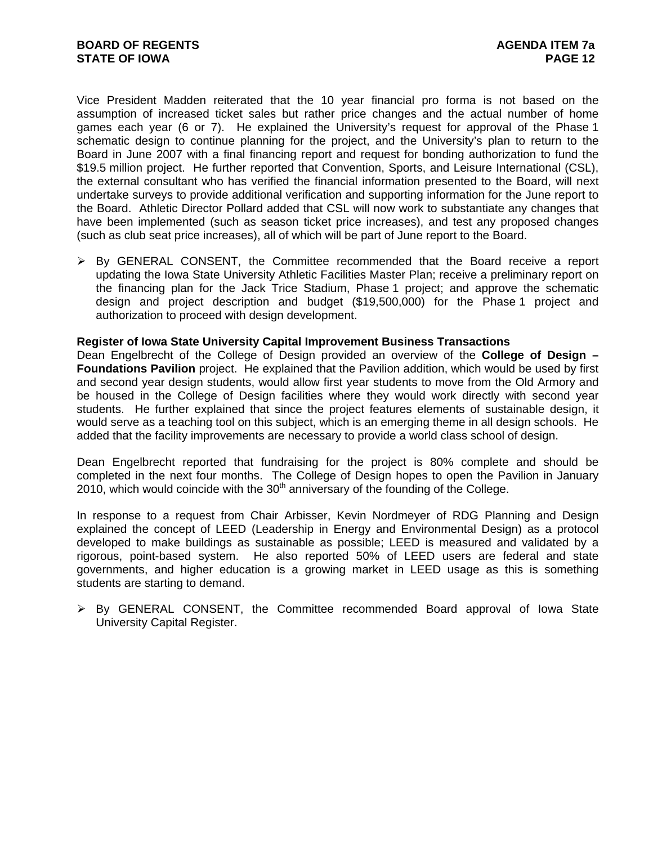Vice President Madden reiterated that the 10 year financial pro forma is not based on the assumption of increased ticket sales but rather price changes and the actual number of home games each year (6 or 7). He explained the University's request for approval of the Phase 1 schematic design to continue planning for the project, and the University's plan to return to the Board in June 2007 with a final financing report and request for bonding authorization to fund the \$19.5 million project. He further reported that Convention, Sports, and Leisure International (CSL), the external consultant who has verified the financial information presented to the Board, will next undertake surveys to provide additional verification and supporting information for the June report to the Board. Athletic Director Pollard added that CSL will now work to substantiate any changes that have been implemented (such as season ticket price increases), and test any proposed changes (such as club seat price increases), all of which will be part of June report to the Board.

 $\triangleright$  By GENERAL CONSENT, the Committee recommended that the Board receive a report updating the Iowa State University Athletic Facilities Master Plan; receive a preliminary report on the financing plan for the Jack Trice Stadium, Phase 1 project; and approve the schematic design and project description and budget (\$19,500,000) for the Phase 1 project and authorization to proceed with design development.

#### **Register of Iowa State University Capital Improvement Business Transactions**

Dean Engelbrecht of the College of Design provided an overview of the **College of Design – Foundations Pavilion** project. He explained that the Pavilion addition, which would be used by first and second year design students, would allow first year students to move from the Old Armory and be housed in the College of Design facilities where they would work directly with second year students. He further explained that since the project features elements of sustainable design, it would serve as a teaching tool on this subject, which is an emerging theme in all design schools. He added that the facility improvements are necessary to provide a world class school of design.

Dean Engelbrecht reported that fundraising for the project is 80% complete and should be completed in the next four months. The College of Design hopes to open the Pavilion in January  $2010$ , which would coincide with the  $30<sup>th</sup>$  anniversary of the founding of the College.

In response to a request from Chair Arbisser, Kevin Nordmeyer of RDG Planning and Design explained the concept of LEED (Leadership in Energy and Environmental Design) as a protocol developed to make buildings as sustainable as possible; LEED is measured and validated by a rigorous, point-based system. He also reported 50% of LEED users are federal and state governments, and higher education is a growing market in LEED usage as this is something students are starting to demand.

 By GENERAL CONSENT, the Committee recommended Board approval of Iowa State University Capital Register.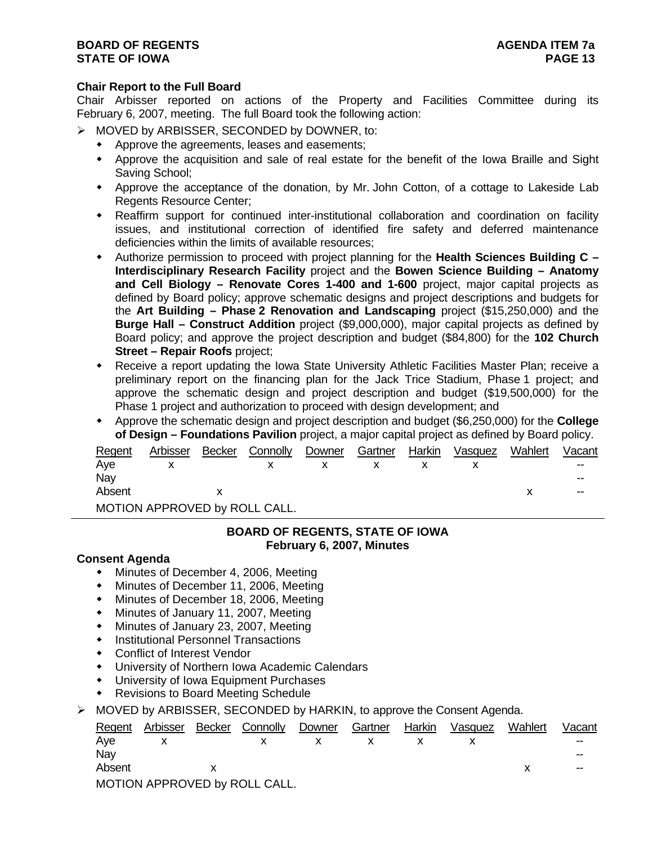# **BOARD OF REGENTS AGENUS AGENDA ITEM 7a STATE OF IOWA** PAGE 13

## **Chair Report to the Full Board**

Chair Arbisser reported on actions of the Property and Facilities Committee during its February 6, 2007, meeting. The full Board took the following action:

- > MOVED by ARBISSER, SECONDED by DOWNER, to:
	- Approve the agreements, leases and easements;
	- Approve the acquisition and sale of real estate for the benefit of the Iowa Braille and Sight Saving School;
	- Approve the acceptance of the donation, by Mr. John Cotton, of a cottage to Lakeside Lab Regents Resource Center;
	- Reaffirm support for continued inter-institutional collaboration and coordination on facility issues, and institutional correction of identified fire safety and deferred maintenance deficiencies within the limits of available resources;
	- Authorize permission to proceed with project planning for the **Health Sciences Building C Interdisciplinary Research Facility** project and the **Bowen Science Building – Anatomy and Cell Biology – Renovate Cores 1-400 and 1-600** project, major capital projects as defined by Board policy; approve schematic designs and project descriptions and budgets for the **Art Building – Phase 2 Renovation and Landscaping** project (\$15,250,000) and the **Burge Hall – Construct Addition** project (\$9,000,000), major capital projects as defined by Board policy; and approve the project description and budget (\$84,800) for the **102 Church Street – Repair Roofs** project;
	- Receive a report updating the Iowa State University Athletic Facilities Master Plan; receive a preliminary report on the financing plan for the Jack Trice Stadium, Phase 1 project; and approve the schematic design and project description and budget (\$19,500,000) for the Phase 1 project and authorization to proceed with design development; and
	- Approve the schematic design and project description and budget (\$6,250,000) for the **College of Design – Foundations Pavilion** project, a major capital project as defined by Board policy.

| Regent | Arbisser | Becker | Connolly                      | Downer | Gartner | Harkin | Vasquez | Wahlert | Vacant |
|--------|----------|--------|-------------------------------|--------|---------|--------|---------|---------|--------|
| Ave    |          |        |                               |        |         |        |         |         | $- -$  |
| Nay    |          |        |                               |        |         |        |         |         | $- -$  |
| Absent |          |        |                               |        |         |        |         |         | $- -$  |
|        |          |        | MOTION APPROVED by ROLL CALL. |        |         |        |         |         |        |

# **BOARD OF REGENTS, STATE OF IOWA February 6, 2007, Minutes**

#### **Consent Agenda**

- Minutes of December 4, 2006, Meeting
- Minutes of December 11, 2006, Meeting
- Minutes of December 18, 2006, Meeting
- Minutes of January 11, 2007, Meeting
- Minutes of January 23, 2007, Meeting
- **•** Institutional Personnel Transactions
- Conflict of Interest Vendor
- University of Northern Iowa Academic Calendars
- University of Iowa Equipment Purchases
- Revisions to Board Meeting Schedule
- MOVED by ARBISSER, SECONDED by HARKIN, to approve the Consent Agenda.

| Regent | Arbisser | Becker | Connolly                      | Downer | Gartner | Harkin | Vasquez | Wahlert | Vacant |
|--------|----------|--------|-------------------------------|--------|---------|--------|---------|---------|--------|
| Ave    |          |        |                               |        |         |        |         |         | $- -$  |
| Nav    |          |        |                               |        |         |        |         |         | $- -$  |
| Absent |          |        |                               |        |         |        |         |         | $- -$  |
|        |          |        | MOTION APPROVED by ROLL CALL. |        |         |        |         |         |        |